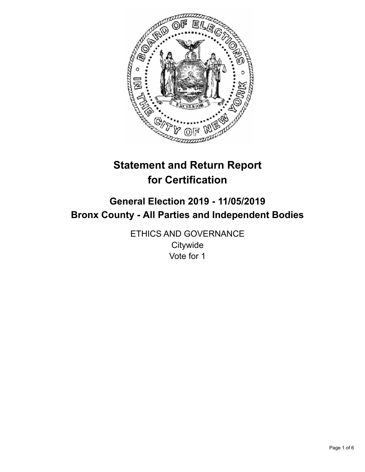

# **Statement and Return Report for Certification**

## **General Election 2019 - 11/05/2019 Bronx County - All Parties and Independent Bodies**

ETHICS AND GOVERNANCE **Citywide** Vote for 1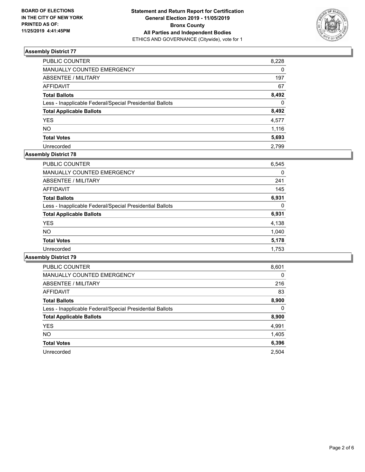

| PUBLIC COUNTER                                           | 8,228    |
|----------------------------------------------------------|----------|
| MANUALLY COUNTED EMERGENCY                               | $\Omega$ |
| <b>ABSENTEE / MILITARY</b>                               | 197      |
| <b>AFFIDAVIT</b>                                         | 67       |
| <b>Total Ballots</b>                                     | 8,492    |
| Less - Inapplicable Federal/Special Presidential Ballots | $\Omega$ |
| <b>Total Applicable Ballots</b>                          | 8,492    |
| <b>YES</b>                                               | 4,577    |
| <b>NO</b>                                                | 1,116    |
| <b>Total Votes</b>                                       | 5,693    |
| Unrecorded                                               | 2.799    |

## **Assembly District 78**

| <b>PUBLIC COUNTER</b>                                    | 6,545    |
|----------------------------------------------------------|----------|
| <b>MANUALLY COUNTED EMERGENCY</b>                        | 0        |
| ABSENTEE / MILITARY                                      | 241      |
| AFFIDAVIT                                                | 145      |
| <b>Total Ballots</b>                                     | 6,931    |
| Less - Inapplicable Federal/Special Presidential Ballots | $\Omega$ |
| <b>Total Applicable Ballots</b>                          | 6,931    |
| <b>YES</b>                                               | 4,138    |
| NO.                                                      | 1,040    |
| <b>Total Votes</b>                                       | 5,178    |
| Unrecorded                                               | 1.753    |

| <b>PUBLIC COUNTER</b>                                    | 8,601 |
|----------------------------------------------------------|-------|
| <b>MANUALLY COUNTED EMERGENCY</b>                        | 0     |
| ABSENTEE / MILITARY                                      | 216   |
| <b>AFFIDAVIT</b>                                         | 83    |
| <b>Total Ballots</b>                                     | 8,900 |
| Less - Inapplicable Federal/Special Presidential Ballots | 0     |
| <b>Total Applicable Ballots</b>                          | 8,900 |
| <b>YES</b>                                               | 4,991 |
| <b>NO</b>                                                | 1,405 |
| <b>Total Votes</b>                                       | 6,396 |
| Unrecorded                                               | 2.504 |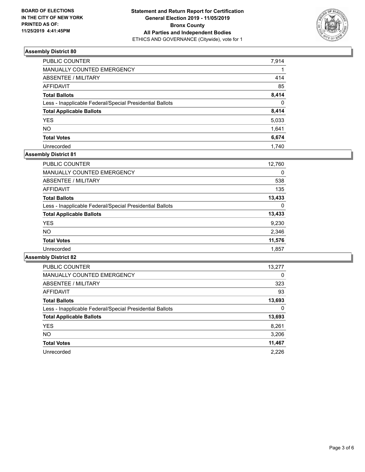

| <b>PUBLIC COUNTER</b>                                    | 7,914    |
|----------------------------------------------------------|----------|
| MANUALLY COUNTED EMERGENCY                               |          |
| <b>ABSENTEE / MILITARY</b>                               | 414      |
| <b>AFFIDAVIT</b>                                         | 85       |
| <b>Total Ballots</b>                                     | 8,414    |
| Less - Inapplicable Federal/Special Presidential Ballots | $\Omega$ |
| <b>Total Applicable Ballots</b>                          | 8,414    |
| <b>YES</b>                                               | 5,033    |
| <b>NO</b>                                                | 1,641    |
| <b>Total Votes</b>                                       | 6,674    |
| Unrecorded                                               | 1.740    |

## **Assembly District 81**

| PUBLIC COUNTER                                           | 12,760   |
|----------------------------------------------------------|----------|
| MANUALLY COUNTED EMERGENCY                               | $\Omega$ |
| ABSENTEE / MILITARY                                      | 538      |
| AFFIDAVIT                                                | 135      |
| <b>Total Ballots</b>                                     | 13,433   |
| Less - Inapplicable Federal/Special Presidential Ballots | 0        |
| <b>Total Applicable Ballots</b>                          | 13,433   |
| <b>YES</b>                                               | 9,230    |
| <b>NO</b>                                                | 2,346    |
| <b>Total Votes</b>                                       | 11,576   |
| Unrecorded                                               | 1,857    |

| <b>PUBLIC COUNTER</b>                                    | 13,277   |
|----------------------------------------------------------|----------|
| <b>MANUALLY COUNTED EMERGENCY</b>                        | $\Omega$ |
| ABSENTEE / MILITARY                                      | 323      |
| AFFIDAVIT                                                | 93       |
| <b>Total Ballots</b>                                     | 13,693   |
| Less - Inapplicable Federal/Special Presidential Ballots | 0        |
| <b>Total Applicable Ballots</b>                          | 13,693   |
| <b>YES</b>                                               | 8,261    |
| <b>NO</b>                                                | 3,206    |
| <b>Total Votes</b>                                       | 11,467   |
| Unrecorded                                               | 2.226    |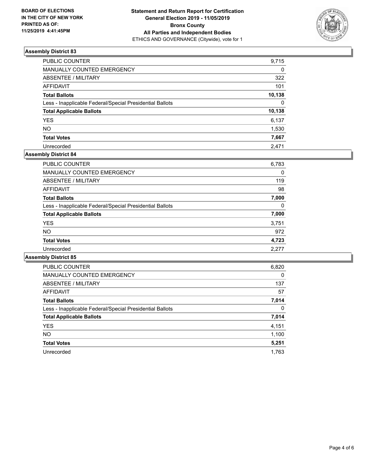

| PUBLIC COUNTER                                           | 9,715    |
|----------------------------------------------------------|----------|
| <b>MANUALLY COUNTED EMERGENCY</b>                        | $\Omega$ |
| ABSENTEE / MILITARY                                      | 322      |
| <b>AFFIDAVIT</b>                                         | 101      |
| <b>Total Ballots</b>                                     | 10,138   |
| Less - Inapplicable Federal/Special Presidential Ballots | $\Omega$ |
| <b>Total Applicable Ballots</b>                          | 10,138   |
| YES                                                      | 6,137    |
| <b>NO</b>                                                | 1,530    |
| <b>Total Votes</b>                                       | 7,667    |
| Unrecorded                                               | 2.471    |

## **Assembly District 84**

| PUBLIC COUNTER                                           | 6,783 |
|----------------------------------------------------------|-------|
| <b>MANUALLY COUNTED EMERGENCY</b>                        | 0     |
| ABSENTEE / MILITARY                                      | 119   |
| <b>AFFIDAVIT</b>                                         | 98    |
| <b>Total Ballots</b>                                     | 7,000 |
| Less - Inapplicable Federal/Special Presidential Ballots | 0     |
| <b>Total Applicable Ballots</b>                          | 7,000 |
| <b>YES</b>                                               | 3,751 |
| NO.                                                      | 972   |
| <b>Total Votes</b>                                       | 4,723 |
| Unrecorded                                               | 2,277 |

| PUBLIC COUNTER                                           | 6,820    |
|----------------------------------------------------------|----------|
| <b>MANUALLY COUNTED EMERGENCY</b>                        | 0        |
| ABSENTEE / MILITARY                                      | 137      |
| <b>AFFIDAVIT</b>                                         | 57       |
| <b>Total Ballots</b>                                     | 7,014    |
| Less - Inapplicable Federal/Special Presidential Ballots | $\Omega$ |
| <b>Total Applicable Ballots</b>                          | 7,014    |
| <b>YES</b>                                               | 4,151    |
| <b>NO</b>                                                | 1,100    |
| <b>Total Votes</b>                                       | 5,251    |
| Unrecorded                                               | 1.763    |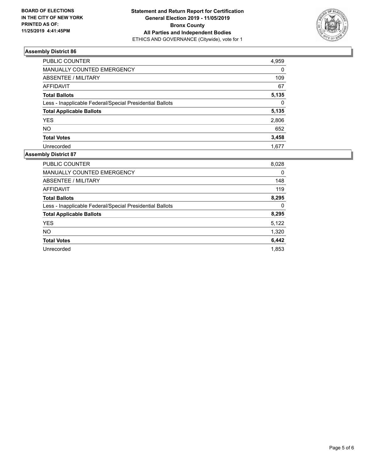

| PUBLIC COUNTER                                           | 4,959    |
|----------------------------------------------------------|----------|
| MANUALLY COUNTED EMERGENCY                               | $\Omega$ |
| ABSENTEE / MILITARY                                      | 109      |
| <b>AFFIDAVIT</b>                                         | 67       |
| <b>Total Ballots</b>                                     | 5,135    |
| Less - Inapplicable Federal/Special Presidential Ballots | $\Omega$ |
| <b>Total Applicable Ballots</b>                          | 5,135    |
| <b>YES</b>                                               | 2,806    |
| <b>NO</b>                                                | 652      |
| <b>Total Votes</b>                                       | 3,458    |
| Unrecorded                                               | 1.677    |

| <b>PUBLIC COUNTER</b>                                    | 8,028 |
|----------------------------------------------------------|-------|
| <b>MANUALLY COUNTED EMERGENCY</b>                        | 0     |
| ABSENTEE / MILITARY                                      | 148   |
| <b>AFFIDAVIT</b>                                         | 119   |
| <b>Total Ballots</b>                                     | 8,295 |
| Less - Inapplicable Federal/Special Presidential Ballots | 0     |
| <b>Total Applicable Ballots</b>                          | 8,295 |
| <b>YES</b>                                               | 5,122 |
| <b>NO</b>                                                | 1,320 |
| <b>Total Votes</b>                                       | 6,442 |
| Unrecorded                                               | 1.853 |